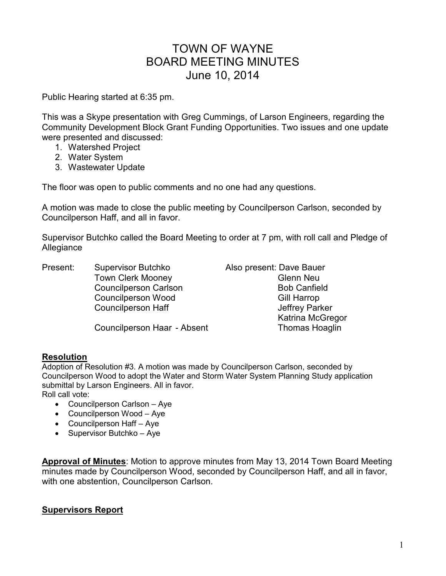## TOWN OF WAYNE BOARD MEETING MINUTES June 10, 2014

Public Hearing started at 6:35 pm.

This was a Skype presentation with Greg Cummings, of Larson Engineers, regarding the Community Development Block Grant Funding Opportunities. Two issues and one update were presented and discussed:

- 1. Watershed Project
- 2. Water System
- 3. Wastewater Update

The floor was open to public comments and no one had any questions.

A motion was made to close the public meeting by Councilperson Carlson, seconded by Councilperson Haff, and all in favor.

Supervisor Butchko called the Board Meeting to order at 7 pm, with roll call and Pledge of Allegiance

Present: Supervisor Butchko Also present: Dave Bauer Town Clerk Mooney **Glenn** Neu Councilperson Carlson **Bob Canfield** Bob Canfield Councilperson Wood Gill Harrop

Councilperson Haff **Council** Jeffrey Parker Katrina McGregor

Councilperson Haar - Absent Thomas Hoaglin

### **Resolution**

Adoption of Resolution #3. A motion was made by Councilperson Carlson, seconded by Councilperson Wood to adopt the Water and Storm Water System Planning Study application submittal by Larson Engineers. All in favor.

Roll call vote:

- Councilperson Carlson Aye
- Councilperson Wood Aye
- Councilperson Haff Aye
- Supervisor Butchko Aye

**Approval of Minutes**: Motion to approve minutes from May 13, 2014 Town Board Meeting minutes made by Councilperson Wood, seconded by Councilperson Haff, and all in favor, with one abstention, Councilperson Carlson.

## **Supervisors Report**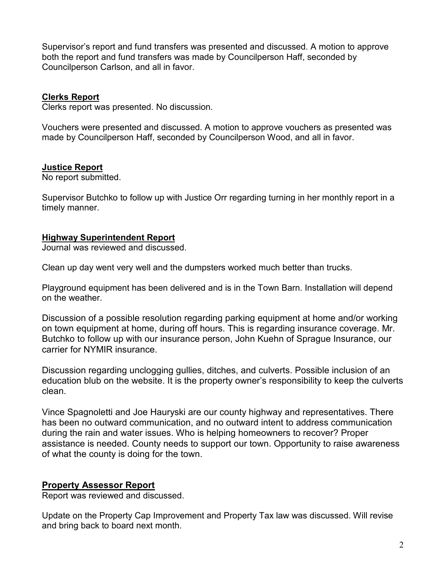Supervisor's report and fund transfers was presented and discussed. A motion to approve both the report and fund transfers was made by Councilperson Haff, seconded by Councilperson Carlson, and all in favor.

## **Clerks Report**

Clerks report was presented. No discussion.

Vouchers were presented and discussed. A motion to approve vouchers as presented was made by Councilperson Haff, seconded by Councilperson Wood, and all in favor.

## **Justice Report**

No report submitted.

Supervisor Butchko to follow up with Justice Orr regarding turning in her monthly report in a timely manner.

### **Highway Superintendent Report**

Journal was reviewed and discussed.

Clean up day went very well and the dumpsters worked much better than trucks.

Playground equipment has been delivered and is in the Town Barn. Installation will depend on the weather.

Discussion of a possible resolution regarding parking equipment at home and/or working on town equipment at home, during off hours. This is regarding insurance coverage. Mr. Butchko to follow up with our insurance person, John Kuehn of Sprague Insurance, our carrier for NYMIR insurance.

Discussion regarding unclogging gullies, ditches, and culverts. Possible inclusion of an education blub on the website. It is the property owner's responsibility to keep the culverts clean.

Vince Spagnoletti and Joe Hauryski are our county highway and representatives. There has been no outward communication, and no outward intent to address communication during the rain and water issues. Who is helping homeowners to recover? Proper assistance is needed. County needs to support our town. Opportunity to raise awareness of what the county is doing for the town.

## **Property Assessor Report**

Report was reviewed and discussed.

Update on the Property Cap Improvement and Property Tax law was discussed. Will revise and bring back to board next month.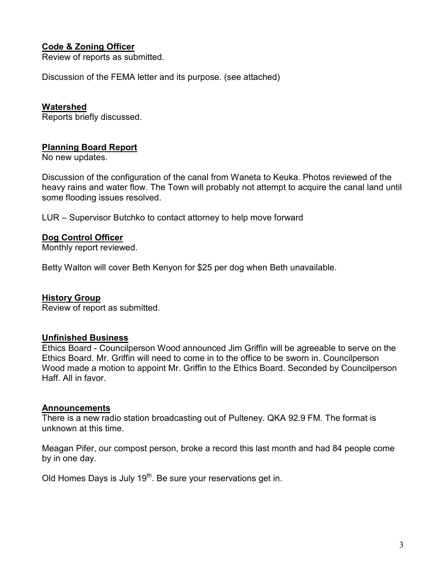## **Code & Zoning Officer**

Review of reports as submitted.

Discussion of the FEMA letter and its purpose. (see attached)

#### **Watershed**

Reports briefly discussed.

#### **Planning Board Report**

No new updates.

Discussion of the configuration of the canal from Waneta to Keuka. Photos reviewed of the heavy rains and water flow. The Town will probably not attempt to acquire the canal land until some flooding issues resolved.

LUR – Supervisor Butchko to contact attorney to help move forward

#### **Dog Control Officer**

Monthly report reviewed.

Betty Walton will cover Beth Kenyon for \$25 per dog when Beth unavailable.

#### **History Group**

Review of report as submitted.

#### **Unfinished Business**

Ethics Board - Councilperson Wood announced Jim Griffin will be agreeable to serve on the Ethics Board. Mr. Griffin will need to come in to the office to be sworn in. Councilperson Wood made a motion to appoint Mr. Griffin to the Ethics Board. Seconded by Councilperson Haff. All in favor.

#### **Announcements**

There is a new radio station broadcasting out of Pulteney. QKA 92.9 FM. The format is unknown at this time.

Meagan Pifer, our compost person, broke a record this last month and had 84 people come by in one day.

Old Homes Days is July 19<sup>th</sup>. Be sure your reservations get in.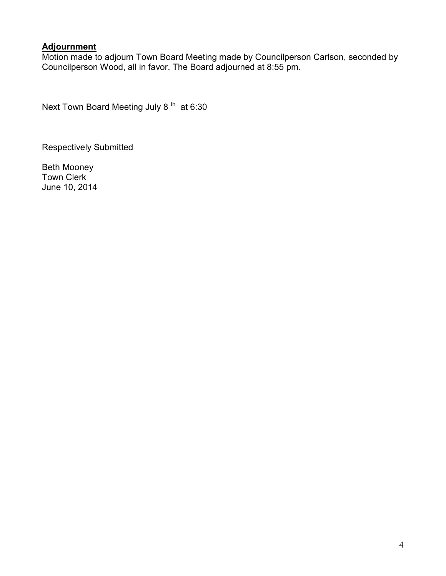## **Adjournment**

Motion made to adjourn Town Board Meeting made by Councilperson Carlson, seconded by Councilperson Wood, all in favor. The Board adjourned at 8:55 pm.

Next Town Board Meeting July 8<sup>th</sup> at 6:30

Respectively Submitted

Beth Mooney Town Clerk June 10, 2014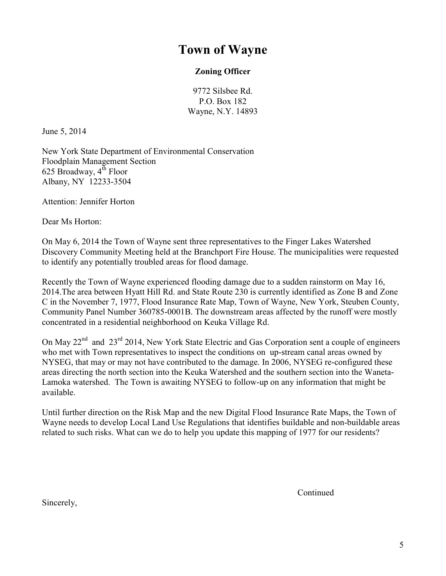# **Town of Wayne**

## **Zoning Officer**

9772 Silsbee Rd. P.O. Box 182 Wayne, N.Y. 14893

June 5, 2014

New York State Department of Environmental Conservation Floodplain Management Section 625 Broadway,  $4^{\text{th}}$  Floor Albany, NY 12233-3504

Attention: Jennifer Horton

Dear Ms Horton:

On May 6, 2014 the Town of Wayne sent three representatives to the Finger Lakes Watershed Discovery Community Meeting held at the Branchport Fire House. The municipalities were requested to identify any potentially troubled areas for flood damage.

Recently the Town of Wayne experienced flooding damage due to a sudden rainstorm on May 16, 2014.The area between Hyatt Hill Rd. and State Route 230 is currently identified as Zone B and Zone C in the November 7, 1977, Flood Insurance Rate Map, Town of Wayne, New York, Steuben County, Community Panel Number 360785-0001B. The downstream areas affected by the runoff were mostly concentrated in a residential neighborhood on Keuka Village Rd.

On May 22<sup>nd</sup> and 23<sup>rd</sup> 2014, New York State Electric and Gas Corporation sent a couple of engineers who met with Town representatives to inspect the conditions on up-stream canal areas owned by NYSEG, that may or may not have contributed to the damage. In 2006, NYSEG re-configured these areas directing the north section into the Keuka Watershed and the southern section into the Waneta-Lamoka watershed. The Town is awaiting NYSEG to follow-up on any information that might be available.

Until further direction on the Risk Map and the new Digital Flood Insurance Rate Maps, the Town of Wayne needs to develop Local Land Use Regulations that identifies buildable and non-buildable areas related to such risks. What can we do to help you update this mapping of 1977 for our residents?

**Continued** 

Sincerely,